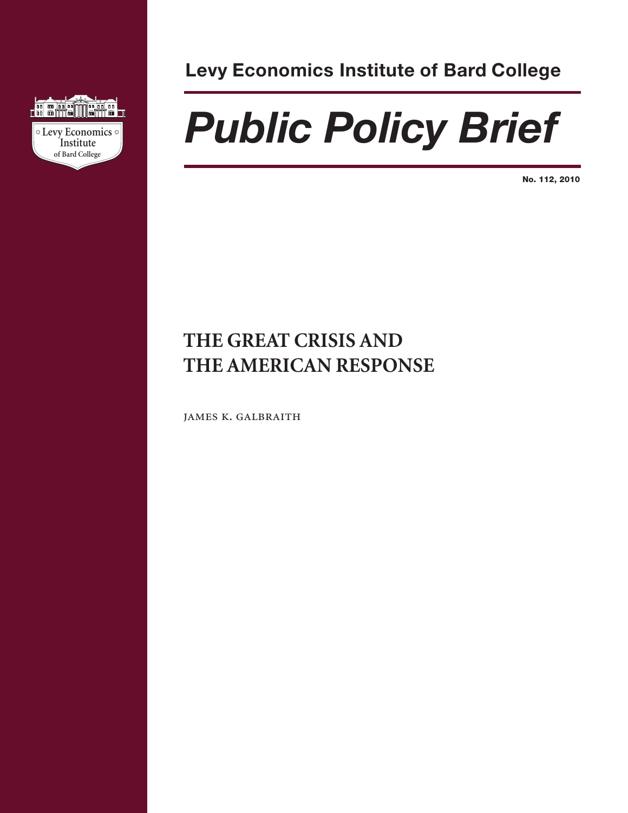

**Levy Economics Institute of Bard College**

# *Public Policy Brief*

**No. 112, 2010**

# **THE GREAT CRISIS AND THE AMERICAN RESPONSE**

james k. galbraith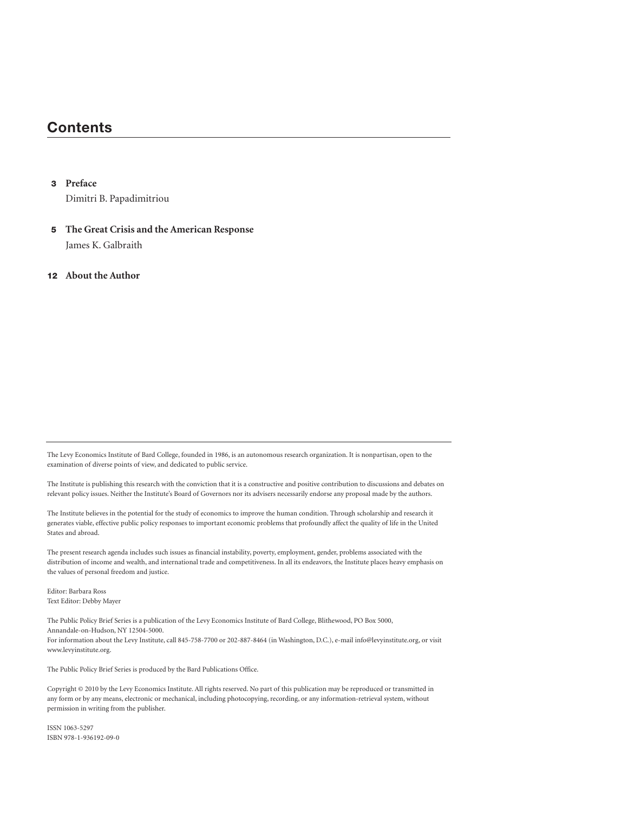## **Contents**

#### **3 Preface**

Dimitri B. Papadimitriou

**5 The Great Crisis and the American Response** James K. Galbraith

#### **12 About the Author**

The Levy Economics Institute of Bard College, founded in 1986, is an autonomous research organization. It is nonpartisan, open to the examination of diverse points of view, and dedicated to public service.

The Institute is publishing this research with the conviction that it is a constructive and positive contribution to discussions and debates on relevant policy issues. Neither the Institute's Board of Governors nor its advisers necessarily endorse any proposal made by the authors.

The Institute believes in the potential for the study of economics to improve the human condition. Through scholarship and research it generates viable, effective public policy responses to important economic problems that profoundly affect the quality of life in the United States and abroad.

The present research agenda includes such issues as financial instability, poverty, employment, gender, problems associated with the distribution of income and wealth, and international trade and competitiveness. In all its endeavors, the Institute places heavy emphasis on the values of personal freedom and justice.

Editor: Barbara Ross Text Editor: Debby Mayer

The Public Policy Brief Series is a publication of the Levy Economics Institute of Bard College, Blithewood, PO Box 5000, Annandale-on-Hudson, NY 12504-5000. For information about the Levy Institute, call 845-758-7700 or 202-887-8464 (in Washington, D.C.), e-mail info@levyinstitute.org, or visit www.levyinstitute.org.

The Public Policy Brief Series is produced by the Bard Publications Office.

Copyright © 2010 by the Levy Economics Institute. All rights reserved. No part of this publication may be reproduced or transmitted in any form or by any means, electronic or mechanical, including photocopying, recording, or any information-retrieval system, without permission in writing from the publisher.

ISSN 1063-5297 ISBN 978-1-936192-09-0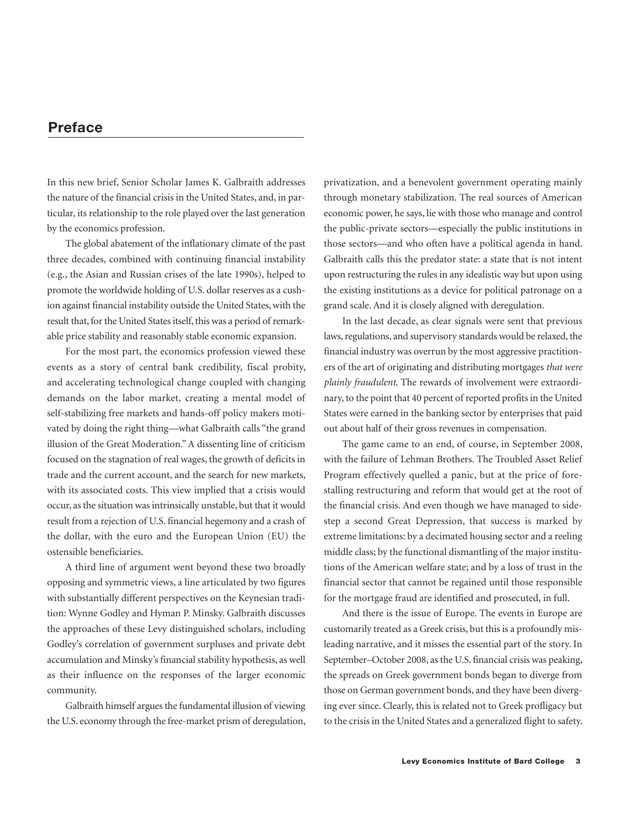## **Preface**

In this new brief, Senior Scholar James K. Galbraith addresses the nature of the financial crisis in the United States, and, in particular, its relationship to the role played over the last generation by the economics profession.

The global abatement of the inflationary climate of the past three decades, combined with continuing financial instability (e.g., the Asian and Russian crises of the late 1990s), helped to promote the worldwide holding of U.S. dollar reserves as a cushion against financial instability outside the United States, with the result that, for the United States itself, this was a period of remarkable price stability and reasonably stable economic expansion.

For the most part, the economics profession viewed these events as a story of central bank credibility, fiscal probity, and accelerating technological change coupled with changing demands on the labor market, creating a mental model of self-stabilizing free markets and hands-off policy makers motivated by doing the right thing—what Galbraith calls "the grand illusion of the Great Moderation." A dissenting line of criticism focused on the stagnation of real wages, the growth of deficits in trade and the current account, and the search for new markets, with its associated costs. This view implied that a crisis would occur, as the situation was intrinsically unstable, but that it would result from a rejection of U.S. financial hegemony and a crash of the dollar, with the euro and the European Union (EU) the ostensible beneficiaries.

A third line of argument went beyond these two broadly opposing and symmetric views, a line articulated by two figures with substantially different perspectives on the Keynesian tradition: Wynne Godley and Hyman P. Minsky. Galbraith discusses the approaches of these Levy distinguished scholars, including Godley's correlation of government surpluses and private debt accumulation and Minsky's financial stability hypothesis, as well as their influence on the responses of the larger economic community.

Galbraith himself argues the fundamental illusion of viewing the U.S. economy through the free-market prism of deregulation,

privatization, and a benevolent government operating mainly through monetary stabilization. The real sources of American economic power, he says, lie with those who manage and control the public-private sectors—especially the public institutions in those sectors—and who often have a political agenda in hand. Galbraith calls this the predator state: a state that is not intent upon restructuring the rules in any idealistic way but upon using the existing institutions as a device for political patronage on a grand scale. And it is closely aligned with deregulation.

In the last decade, as clear signals were sent that previous laws, regulations, and supervisory standards would be relaxed, the financial industry was overrun by the most aggressive practitioners of the art of originating and distributing mortgages *that were plainly fraudulent*. The rewards of involvement were extraordinary, to the point that 40 percent of reported profits in the United States were earned in the banking sector by enterprises that paid out about half of their gross revenues in compensation.

The game came to an end, of course, in September 2008, with the failure of Lehman Brothers. The Troubled Asset Relief Program effectively quelled a panic, but at the price of forestalling restructuring and reform that would get at the root of the financial crisis. And even though we have managed to sidestep a second Great Depression, that success is marked by extreme limitations: by a decimated housing sector and a reeling middle class; by the functional dismantling of the major institutions of the American welfare state; and by a loss of trust in the financial sector that cannot be regained until those responsible for the mortgage fraud are identified and prosecuted, in full.

And there is the issue of Europe. The events in Europe are customarily treated as a Greek crisis, but this is a profoundly misleading narrative, and it misses the essential part of the story. In September–October 2008, as the U.S. financial crisis was peaking, the spreads on Greek government bonds began to diverge from those on German government bonds, and they have been diverging ever since. Clearly, this is related not to Greek profligacy but to the crisis in the United States and a generalized flight to safety.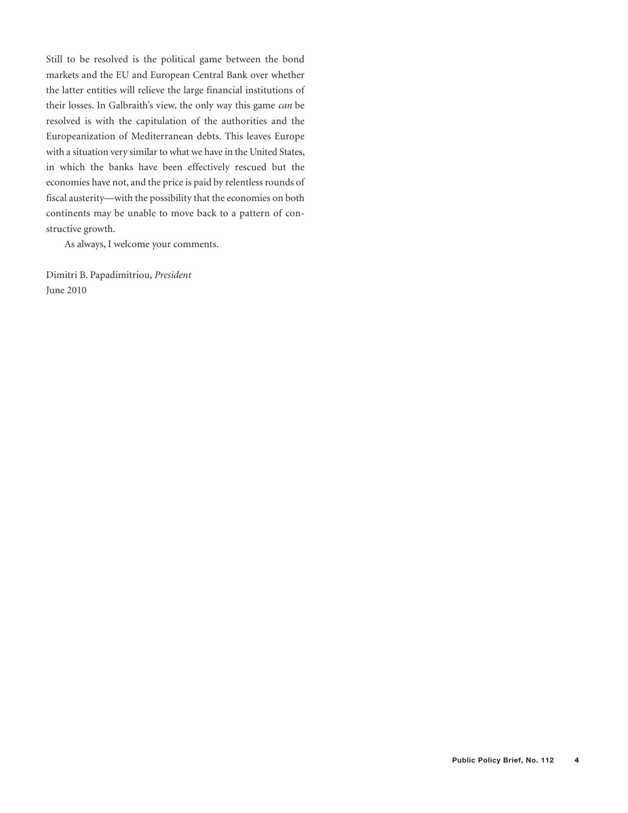Still to be resolved is the political game between the bond markets and the EU and European Central Bank over whether the latter entities will relieve the large financial institutions of their losses. In Galbraith's view, the only way this game *can* be resolved is with the capitulation of the authorities and the Europeanization of Mediterranean debts. This leaves Europe with a situation very similar to what we have in the United States, in which the banks have been effectively rescued but the economies have not, and the price is paid by relentless rounds of fiscal austerity—with the possibility that the economies on both continents may be unable to move back to a pattern of constructive growth.

As always, I welcome your comments.

Dimitri B. Papadimitriou, *President* June 2010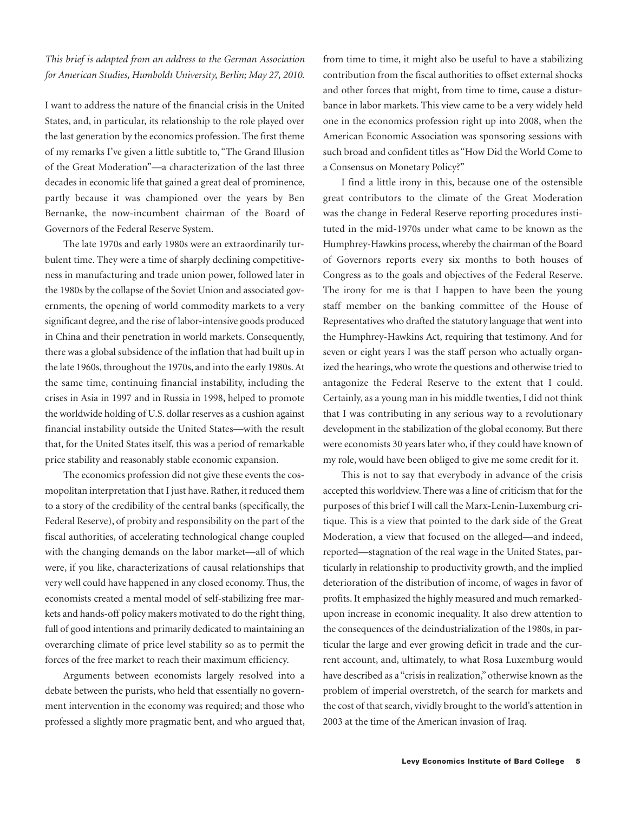*This brief is adapted from an address to the German Association for American Studies, Humboldt University, Berlin; May 27, 2010.*

I want to address the nature of the financial crisis in the United States, and, in particular, its relationship to the role played over the last generation by the economics profession. The first theme of my remarks I've given a little subtitle to, "The Grand Illusion of the Great Moderation"—a characterization of the last three decades in economic life that gained a great deal of prominence, partly because it was championed over the years by Ben Bernanke, the now-incumbent chairman of the Board of Governors of the Federal Reserve System.

The late 1970s and early 1980s were an extraordinarily turbulent time. They were a time of sharply declining competitiveness in manufacturing and trade union power, followed later in the 1980s by the collapse of the Soviet Union and associated governments, the opening of world commodity markets to a very significant degree, and the rise of labor-intensive goods produced in China and their penetration in world markets. Consequently, there was a global subsidence of the inflation that had built up in the late 1960s, throughout the 1970s, and into the early 1980s. At the same time, continuing financial instability, including the crises in Asia in 1997 and in Russia in 1998, helped to promote the worldwide holding of U.S. dollar reserves as a cushion against financial instability outside the United States—with the result that, for the United States itself, this was a period of remarkable price stability and reasonably stable economic expansion.

The economics profession did not give these events the cosmopolitan interpretation that I just have. Rather, it reduced them to a story of the credibility of the central banks (specifically, the Federal Reserve), of probity and responsibility on the part of the fiscal authorities, of accelerating technological change coupled with the changing demands on the labor market—all of which were, if you like, characterizations of causal relationships that very well could have happened in any closed economy. Thus, the economists created a mental model of self-stabilizing free markets and hands-off policy makers motivated to do the right thing, full of good intentions and primarily dedicated to maintaining an overarching climate of price level stability so as to permit the forces of the free market to reach their maximum efficiency.

Arguments between economists largely resolved into a debate between the purists, who held that essentially no government intervention in the economy was required; and those who professed a slightly more pragmatic bent, and who argued that, from time to time, it might also be useful to have a stabilizing contribution from the fiscal authorities to offset external shocks and other forces that might, from time to time, cause a disturbance in labor markets. This view came to be a very widely held one in the economics profession right up into 2008, when the American Economic Association was sponsoring sessions with such broad and confident titles as "How Did the World Come to a Consensus on Monetary Policy?"

I find a little irony in this, because one of the ostensible great contributors to the climate of the Great Moderation was the change in Federal Reserve reporting procedures instituted in the mid-1970s under what came to be known as the Humphrey-Hawkins process, whereby the chairman of the Board of Governors reports every six months to both houses of Congress as to the goals and objectives of the Federal Reserve. The irony for me is that I happen to have been the young staff member on the banking committee of the House of Representatives who drafted the statutory language that went into the Humphrey-Hawkins Act, requiring that testimony. And for seven or eight years I was the staff person who actually organized the hearings, who wrote the questions and otherwise tried to antagonize the Federal Reserve to the extent that I could. Certainly, as a young man in his middle twenties, I did not think that I was contributing in any serious way to a revolutionary development in the stabilization of the global economy. But there were economists 30 years later who, if they could have known of my role, would have been obliged to give me some credit for it.

This is not to say that everybody in advance of the crisis accepted this worldview. There was a line of criticism that for the purposes of this brief I will call the Marx-Lenin-Luxemburg critique. This is a view that pointed to the dark side of the Great Moderation, a view that focused on the alleged—and indeed, reported—stagnation of the real wage in the United States, particularly in relationship to productivity growth, and the implied deterioration of the distribution of income, of wages in favor of profits. It emphasized the highly measured and much remarkedupon increase in economic inequality. It also drew attention to the consequences of the deindustrialization of the 1980s, in particular the large and ever growing deficit in trade and the current account, and, ultimately, to what Rosa Luxemburg would have described as a "crisis in realization," otherwise known as the problem of imperial overstretch, of the search for markets and the cost of that search, vividly brought to the world's attention in 2003 at the time of the American invasion of Iraq.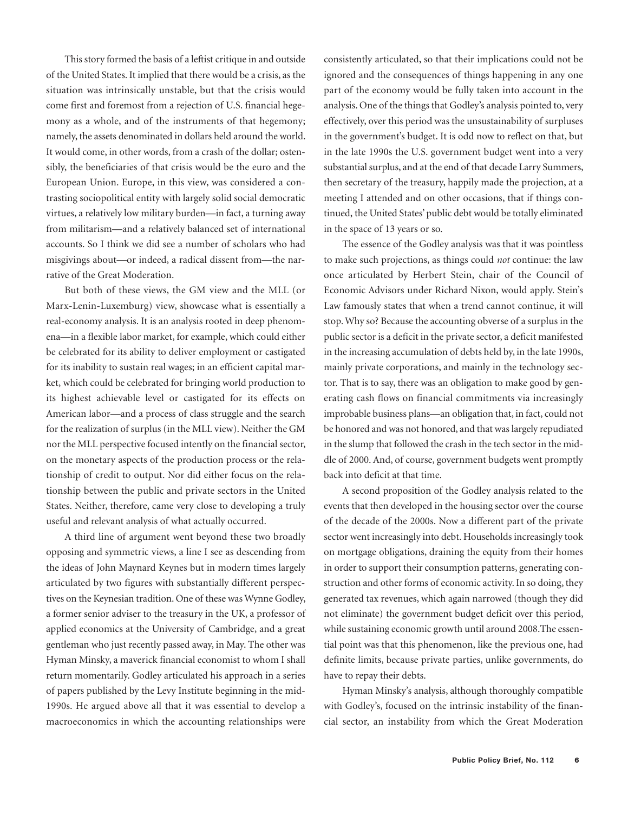This story formed the basis of a leftist critique in and outside of the United States. It implied that there would be a crisis, as the situation was intrinsically unstable, but that the crisis would come first and foremost from a rejection of U.S. financial hegemony as a whole, and of the instruments of that hegemony; namely, the assets denominated in dollars held around the world. It would come, in other words, from a crash of the dollar; ostensibly, the beneficiaries of that crisis would be the euro and the European Union. Europe, in this view, was considered a contrasting sociopolitical entity with largely solid social democratic virtues, a relatively low military burden—in fact, a turning away from militarism—and a relatively balanced set of international accounts. So I think we did see a number of scholars who had misgivings about—or indeed, a radical dissent from—the narrative of the Great Moderation.

But both of these views, the GM view and the MLL (or Marx-Lenin-Luxemburg) view, showcase what is essentially a real-economy analysis. It is an analysis rooted in deep phenomena—in a flexible labor market, for example, which could either be celebrated for its ability to deliver employment or castigated for its inability to sustain real wages; in an efficient capital market, which could be celebrated for bringing world production to its highest achievable level or castigated for its effects on American labor—and a process of class struggle and the search for the realization of surplus (in the MLL view). Neither the GM nor the MLL perspective focused intently on the financial sector, on the monetary aspects of the production process or the relationship of credit to output. Nor did either focus on the relationship between the public and private sectors in the United States. Neither, therefore, came very close to developing a truly useful and relevant analysis of what actually occurred.

A third line of argument went beyond these two broadly opposing and symmetric views, a line I see as descending from the ideas of John Maynard Keynes but in modern times largely articulated by two figures with substantially different perspectives on the Keynesian tradition. One of these was Wynne Godley, a former senior adviser to the treasury in the UK, a professor of applied economics at the University of Cambridge, and a great gentleman who just recently passed away, in May. The other was Hyman Minsky, a maverick financial economist to whom I shall return momentarily. Godley articulated his approach in a series of papers published by the Levy Institute beginning in the mid-1990s. He argued above all that it was essential to develop a macroeconomics in which the accounting relationships were consistently articulated, so that their implications could not be ignored and the consequences of things happening in any one part of the economy would be fully taken into account in the analysis. One of the things that Godley's analysis pointed to, very effectively, over this period was the unsustainability of surpluses in the government's budget. It is odd now to reflect on that, but in the late 1990s the U.S. government budget went into a very substantial surplus, and at the end of that decade Larry Summers, then secretary of the treasury, happily made the projection, at a meeting I attended and on other occasions, that if things continued, the United States' public debt would be totally eliminated in the space of 13 years or so.

The essence of the Godley analysis was that it was pointless to make such projections, as things could *not* continue: the law once articulated by Herbert Stein, chair of the Council of Economic Advisors under Richard Nixon, would apply. Stein's Law famously states that when a trend cannot continue, it will stop. Why so? Because the accounting obverse of a surplus in the public sector is a deficit in the private sector, a deficit manifested in the increasing accumulation of debts held by, in the late 1990s, mainly private corporations, and mainly in the technology sector. That is to say, there was an obligation to make good by generating cash flows on financial commitments via increasingly improbable business plans—an obligation that, in fact, could not be honored and was not honored, and that was largely repudiated in the slump that followed the crash in the tech sector in the middle of 2000. And, of course, government budgets went promptly back into deficit at that time.

A second proposition of the Godley analysis related to the events that then developed in the housing sector over the course of the decade of the 2000s. Now a different part of the private sector went increasingly into debt. Households increasingly took on mortgage obligations, draining the equity from their homes in order to support their consumption patterns, generating construction and other forms of economic activity. In so doing, they generated tax revenues, which again narrowed (though they did not eliminate) the government budget deficit over this period, while sustaining economic growth until around 2008.The essential point was that this phenomenon, like the previous one, had definite limits, because private parties, unlike governments, do have to repay their debts.

Hyman Minsky's analysis, although thoroughly compatible with Godley's, focused on the intrinsic instability of the financial sector, an instability from which the Great Moderation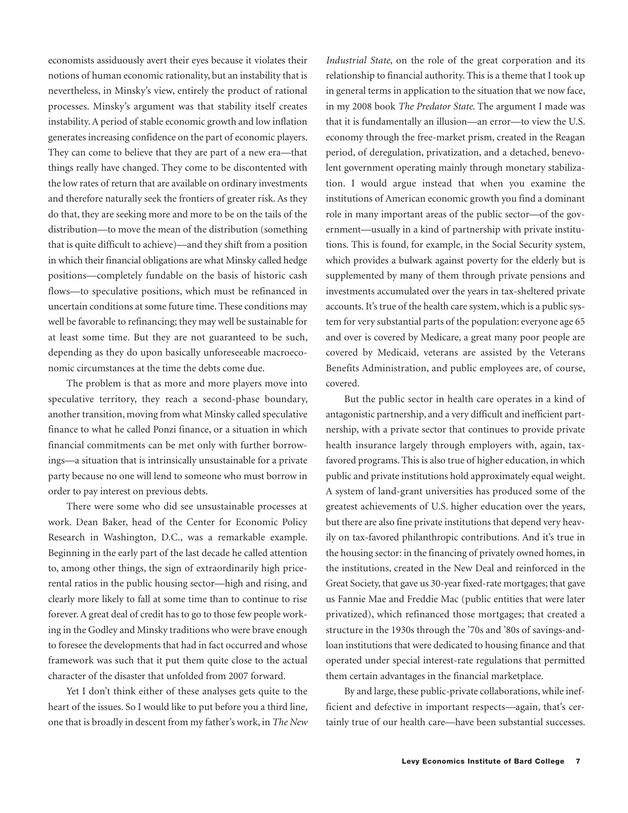economists assiduously avert their eyes because it violates their notions of human economic rationality, but an instability that is nevertheless, in Minsky's view, entirely the product of rational processes. Minsky's argument was that stability itself creates instability. A period of stable economic growth and low inflation generates increasing confidence on the part of economic players. They can come to believe that they are part of a new era—that things really have changed. They come to be discontented with the low rates of return that are available on ordinary investments and therefore naturally seek the frontiers of greater risk. As they do that, they are seeking more and more to be on the tails of the distribution—to move the mean of the distribution (something that is quite difficult to achieve)—and they shift from a position in which their financial obligations are what Minsky called hedge positions—completely fundable on the basis of historic cash flows—to speculative positions, which must be refinanced in uncertain conditions at some future time. These conditions may well be favorable to refinancing; they may well be sustainable for at least some time. But they are not guaranteed to be such, depending as they do upon basically unforeseeable macroeconomic circumstances at the time the debts come due.

The problem is that as more and more players move into speculative territory, they reach a second-phase boundary, another transition, moving from what Minsky called speculative finance to what he called Ponzi finance, or a situation in which financial commitments can be met only with further borrowings—a situation that is intrinsically unsustainable for a private party because no one will lend to someone who must borrow in order to pay interest on previous debts.

There were some who did see unsustainable processes at work. Dean Baker, head of the Center for Economic Policy Research in Washington, D.C., was a remarkable example. Beginning in the early part of the last decade he called attention to, among other things, the sign of extraordinarily high pricerental ratios in the public housing sector—high and rising, and clearly more likely to fall at some time than to continue to rise forever. A great deal of credit has to go to those few people working in the Godley and Minsky traditions who were brave enough to foresee the developments that had in fact occurred and whose framework was such that it put them quite close to the actual character of the disaster that unfolded from 2007 forward.

Yet I don't think either of these analyses gets quite to the heart of the issues. So I would like to put before you a third line, one that is broadly in descent from my father's work, in *The New*

*Industrial State*, on the role of the great corporation and its relationship to financial authority. This is a theme that I took up in general terms in application to the situation that we now face, in my 2008 book *The Predator State*. The argument I made was that it is fundamentally an illusion—an error—to view the U.S. economy through the free-market prism, created in the Reagan period, of deregulation, privatization, and a detached, benevolent government operating mainly through monetary stabilization. I would argue instead that when you examine the institutions of American economic growth you find a dominant role in many important areas of the public sector—of the government—usually in a kind of partnership with private institutions. This is found, for example, in the Social Security system, which provides a bulwark against poverty for the elderly but is supplemented by many of them through private pensions and investments accumulated over the years in tax-sheltered private accounts. It's true of the health care system, which is a public system for very substantial parts of the population: everyone age 65 and over is covered by Medicare, a great many poor people are covered by Medicaid, veterans are assisted by the Veterans Benefits Administration, and public employees are, of course, covered.

But the public sector in health care operates in a kind of antagonistic partnership, and a very difficult and inefficient partnership, with a private sector that continues to provide private health insurance largely through employers with, again, taxfavored programs. This is also true of higher education, in which public and private institutions hold approximately equal weight. A system of land-grant universities has produced some of the greatest achievements of U.S. higher education over the years, but there are also fine private institutions that depend very heavily on tax-favored philanthropic contributions. And it's true in the housing sector: in the financing of privately owned homes, in the institutions, created in the New Deal and reinforced in the Great Society, that gave us 30-year fixed-rate mortgages; that gave us Fannie Mae and Freddie Mac (public entities that were later privatized), which refinanced those mortgages; that created a structure in the 1930s through the '70s and '80s of savings-andloan institutions that were dedicated to housing finance and that operated under special interest-rate regulations that permitted them certain advantages in the financial marketplace.

By and large, these public-private collaborations, while inefficient and defective in important respects—again, that's certainly true of our health care—have been substantial successes.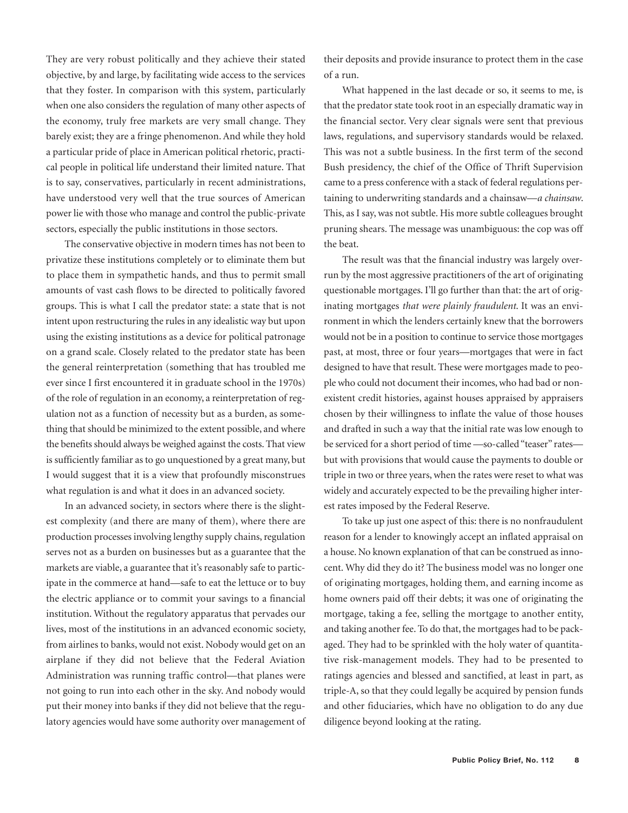They are very robust politically and they achieve their stated objective, by and large, by facilitating wide access to the services that they foster. In comparison with this system, particularly when one also considers the regulation of many other aspects of the economy, truly free markets are very small change. They barely exist; they are a fringe phenomenon. And while they hold a particular pride of place in American political rhetoric, practical people in political life understand their limited nature. That is to say, conservatives, particularly in recent administrations, have understood very well that the true sources of American power lie with those who manage and control the public-private sectors, especially the public institutions in those sectors.

The conservative objective in modern times has not been to privatize these institutions completely or to eliminate them but to place them in sympathetic hands, and thus to permit small amounts of vast cash flows to be directed to politically favored groups. This is what I call the predator state: a state that is not intent upon restructuring the rules in any idealistic way but upon using the existing institutions as a device for political patronage on a grand scale. Closely related to the predator state has been the general reinterpretation (something that has troubled me ever since I first encountered it in graduate school in the 1970s) of the role of regulation in an economy, a reinterpretation of regulation not as a function of necessity but as a burden, as something that should be minimized to the extent possible, and where the benefits should always be weighed against the costs. That view is sufficiently familiar as to go unquestioned by a great many, but I would suggest that it is a view that profoundly misconstrues what regulation is and what it does in an advanced society.

In an advanced society, in sectors where there is the slightest complexity (and there are many of them), where there are production processes involving lengthy supply chains, regulation serves not as a burden on businesses but as a guarantee that the markets are viable, a guarantee that it's reasonably safe to participate in the commerce at hand—safe to eat the lettuce or to buy the electric appliance or to commit your savings to a financial institution. Without the regulatory apparatus that pervades our lives, most of the institutions in an advanced economic society, from airlines to banks, would not exist. Nobody would get on an airplane if they did not believe that the Federal Aviation Administration was running traffic control—that planes were not going to run into each other in the sky. And nobody would put their money into banks if they did not believe that the regulatory agencies would have some authority over management of their deposits and provide insurance to protect them in the case of a run.

What happened in the last decade or so, it seems to me, is that the predator state took root in an especially dramatic way in the financial sector. Very clear signals were sent that previous laws, regulations, and supervisory standards would be relaxed. This was not a subtle business. In the first term of the second Bush presidency, the chief of the Office of Thrift Supervision came to a press conference with a stack of federal regulations pertaining to underwriting standards and a chainsaw—*a chainsaw*. This, as I say, was not subtle. His more subtle colleagues brought pruning shears. The message was unambiguous: the cop was off the beat.

The result was that the financial industry was largely overrun by the most aggressive practitioners of the art of originating questionable mortgages. I'll go further than that: the art of originating mortgages *that were plainly fraudulent*. It was an environment in which the lenders certainly knew that the borrowers would not be in a position to continue to service those mortgages past, at most, three or four years—mortgages that were in fact designed to have that result. These were mortgages made to people who could not document their incomes, who had bad or nonexistent credit histories, against houses appraised by appraisers chosen by their willingness to inflate the value of those houses and drafted in such a way that the initial rate was low enough to be serviced for a short period of time —so-called "teaser" rates but with provisions that would cause the payments to double or triple in two or three years, when the rates were reset to what was widely and accurately expected to be the prevailing higher interest rates imposed by the Federal Reserve.

To take up just one aspect of this: there is no nonfraudulent reason for a lender to knowingly accept an inflated appraisal on a house. No known explanation of that can be construed as innocent. Why did they do it? The business model was no longer one of originating mortgages, holding them, and earning income as home owners paid off their debts; it was one of originating the mortgage, taking a fee, selling the mortgage to another entity, and taking another fee. To do that, the mortgages had to be packaged. They had to be sprinkled with the holy water of quantitative risk-management models. They had to be presented to ratings agencies and blessed and sanctified, at least in part, as triple-A, so that they could legally be acquired by pension funds and other fiduciaries, which have no obligation to do any due diligence beyond looking at the rating.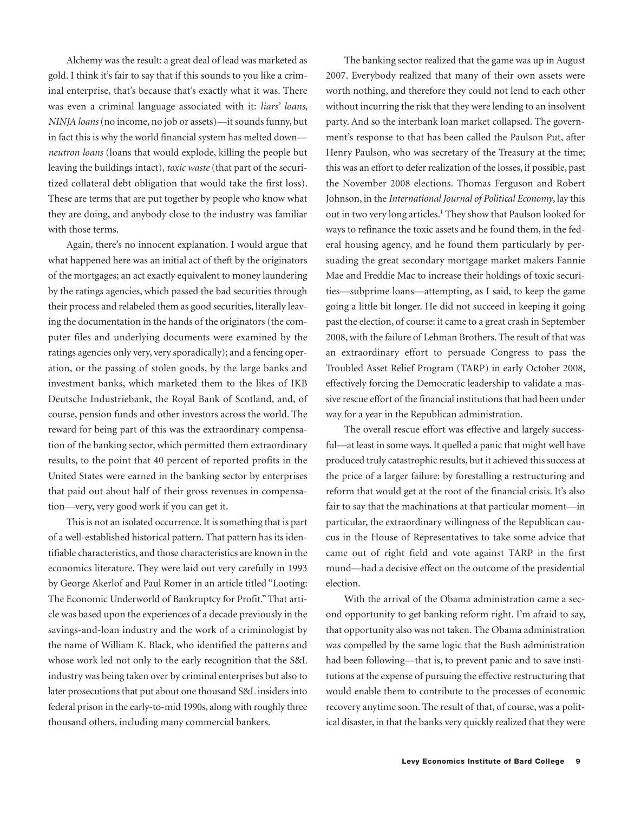Alchemy was the result: a great deal of lead was marketed as gold. I think it's fair to say that if this sounds to you like a criminal enterprise, that's because that's exactly what it was. There was even a criminal language associated with it: *liars' loans*, *NINJA loans* (no income, no job or assets)—it sounds funny, but in fact this is why the world financial system has melted down *neutron loans* (loans that would explode, killing the people but leaving the buildings intact), *toxic waste* (that part of the securitized collateral debt obligation that would take the first loss). These are terms that are put together by people who know what they are doing, and anybody close to the industry was familiar with those terms.

Again, there's no innocent explanation. I would argue that what happened here was an initial act of theft by the originators of the mortgages; an act exactly equivalent to money laundering by the ratings agencies, which passed the bad securities through their process and relabeled them as good securities, literally leaving the documentation in the hands of the originators (the computer files and underlying documents were examined by the ratings agencies only very, very sporadically); and a fencing operation, or the passing of stolen goods, by the large banks and investment banks, which marketed them to the likes of IKB Deutsche Industriebank, the Royal Bank of Scotland, and, of course, pension funds and other investors across the world. The reward for being part of this was the extraordinary compensation of the banking sector, which permitted them extraordinary results, to the point that 40 percent of reported profits in the United States were earned in the banking sector by enterprises that paid out about half of their gross revenues in compensation—very, very good work if you can get it.

This is not an isolated occurrence. It is something that is part of a well-established historical pattern. That pattern has its identifiable characteristics, and those characteristics are known in the economics literature. They were laid out very carefully in 1993 by George Akerlof and Paul Romer in an article titled "Looting: The Economic Underworld of Bankruptcy for Profit." That article was based upon the experiences of a decade previously in the savings-and-loan industry and the work of a criminologist by the name of William K. Black, who identified the patterns and whose work led not only to the early recognition that the S&L industry was being taken over by criminal enterprises but also to later prosecutions that put about one thousand S&L insiders into federal prison in the early-to-mid 1990s, along with roughly three thousand others, including many commercial bankers.

The banking sector realized that the game was up in August 2007. Everybody realized that many of their own assets were worth nothing, and therefore they could not lend to each other without incurring the risk that they were lending to an insolvent party. And so the interbank loan market collapsed. The government's response to that has been called the Paulson Put, after Henry Paulson, who was secretary of the Treasury at the time; this was an effort to defer realization of the losses, if possible, past the November 2008 elections. Thomas Ferguson and Robert Johnson, in the *International Journal of Political Economy*, lay this out in two very long articles.<sup>1</sup> They show that Paulson looked for ways to refinance the toxic assets and he found them, in the federal housing agency, and he found them particularly by persuading the great secondary mortgage market makers Fannie Mae and Freddie Mac to increase their holdings of toxic securities—subprime loans—attempting, as I said, to keep the game going a little bit longer. He did not succeed in keeping it going past the election, of course: it came to a great crash in September 2008, with the failure of Lehman Brothers. The result of that was an extraordinary effort to persuade Congress to pass the Troubled Asset Relief Program (TARP) in early October 2008, effectively forcing the Democratic leadership to validate a massive rescue effort of the financial institutions that had been under way for a year in the Republican administration.

The overall rescue effort was effective and largely successful—at least in some ways. It quelled a panic that might well have produced truly catastrophic results, but it achieved this success at the price of a larger failure: by forestalling a restructuring and reform that would get at the root of the financial crisis. It's also fair to say that the machinations at that particular moment—in particular, the extraordinary willingness of the Republican caucus in the House of Representatives to take some advice that came out of right field and vote against TARP in the first round—had a decisive effect on the outcome of the presidential election.

With the arrival of the Obama administration came a second opportunity to get banking reform right. I'm afraid to say, that opportunity also was not taken. The Obama administration was compelled by the same logic that the Bush administration had been following—that is, to prevent panic and to save institutions at the expense of pursuing the effective restructuring that would enable them to contribute to the processes of economic recovery anytime soon. The result of that, of course, was a political disaster, in that the banks very quickly realized that they were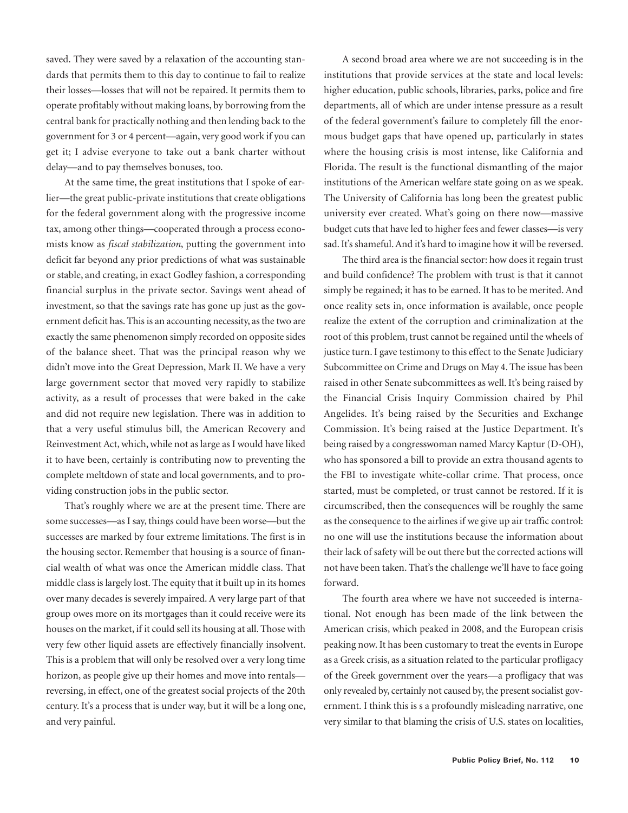saved. They were saved by a relaxation of the accounting standards that permits them to this day to continue to fail to realize their losses—losses that will not be repaired. It permits them to operate profitably without making loans, by borrowing from the central bank for practically nothing and then lending back to the government for 3 or 4 percent—again, very good work if you can get it; I advise everyone to take out a bank charter without delay—and to pay themselves bonuses, too.

At the same time, the great institutions that I spoke of earlier—the great public-private institutions that create obligations for the federal government along with the progressive income tax, among other things—cooperated through a process economists know as *fiscal stabilization*, putting the government into deficit far beyond any prior predictions of what was sustainable or stable, and creating, in exact Godley fashion, a corresponding financial surplus in the private sector. Savings went ahead of investment, so that the savings rate has gone up just as the government deficit has. This is an accounting necessity, as the two are exactly the same phenomenon simply recorded on opposite sides of the balance sheet. That was the principal reason why we didn't move into the Great Depression, Mark II. We have a very large government sector that moved very rapidly to stabilize activity, as a result of processes that were baked in the cake and did not require new legislation. There was in addition to that a very useful stimulus bill, the American Recovery and Reinvestment Act, which, while not as large as I would have liked it to have been, certainly is contributing now to preventing the complete meltdown of state and local governments, and to providing construction jobs in the public sector.

That's roughly where we are at the present time. There are some successes—as I say, things could have been worse—but the successes are marked by four extreme limitations. The first is in the housing sector. Remember that housing is a source of financial wealth of what was once the American middle class. That middle class is largely lost. The equity that it built up in its homes over many decades is severely impaired. A very large part of that group owes more on its mortgages than it could receive were its houses on the market, if it could sell its housing at all. Those with very few other liquid assets are effectively financially insolvent. This is a problem that will only be resolved over a very long time horizon, as people give up their homes and move into rentals reversing, in effect, one of the greatest social projects of the 20th century. It's a process that is under way, but it will be a long one, and very painful.

A second broad area where we are not succeeding is in the institutions that provide services at the state and local levels: higher education, public schools, libraries, parks, police and fire departments, all of which are under intense pressure as a result of the federal government's failure to completely fill the enormous budget gaps that have opened up, particularly in states where the housing crisis is most intense, like California and Florida. The result is the functional dismantling of the major institutions of the American welfare state going on as we speak. The University of California has long been the greatest public university ever created. What's going on there now—massive budget cuts that have led to higher fees and fewer classes—is very sad. It's shameful. And it's hard to imagine how it will be reversed.

The third area is the financial sector: how does it regain trust and build confidence? The problem with trust is that it cannot simply be regained; it has to be earned. It has to be merited. And once reality sets in, once information is available, once people realize the extent of the corruption and criminalization at the root of this problem, trust cannot be regained until the wheels of justice turn. I gave testimony to this effect to the Senate Judiciary Subcommittee on Crime and Drugs on May 4. The issue has been raised in other Senate subcommittees as well. It's being raised by the Financial Crisis Inquiry Commission chaired by Phil Angelides. It's being raised by the Securities and Exchange Commission. It's being raised at the Justice Department. It's being raised by a congresswoman named Marcy Kaptur (D-OH), who has sponsored a bill to provide an extra thousand agents to the FBI to investigate white-collar crime. That process, once started, must be completed, or trust cannot be restored. If it is circumscribed, then the consequences will be roughly the same as the consequence to the airlines if we give up air traffic control: no one will use the institutions because the information about their lack of safety will be out there but the corrected actions will not have been taken. That's the challenge we'll have to face going forward.

The fourth area where we have not succeeded is international. Not enough has been made of the link between the American crisis, which peaked in 2008, and the European crisis peaking now. It has been customary to treat the events in Europe as a Greek crisis, as a situation related to the particular profligacy of the Greek government over the years—a profligacy that was only revealed by, certainly not caused by, the present socialist government. I think this is s a profoundly misleading narrative, one very similar to that blaming the crisis of U.S. states on localities,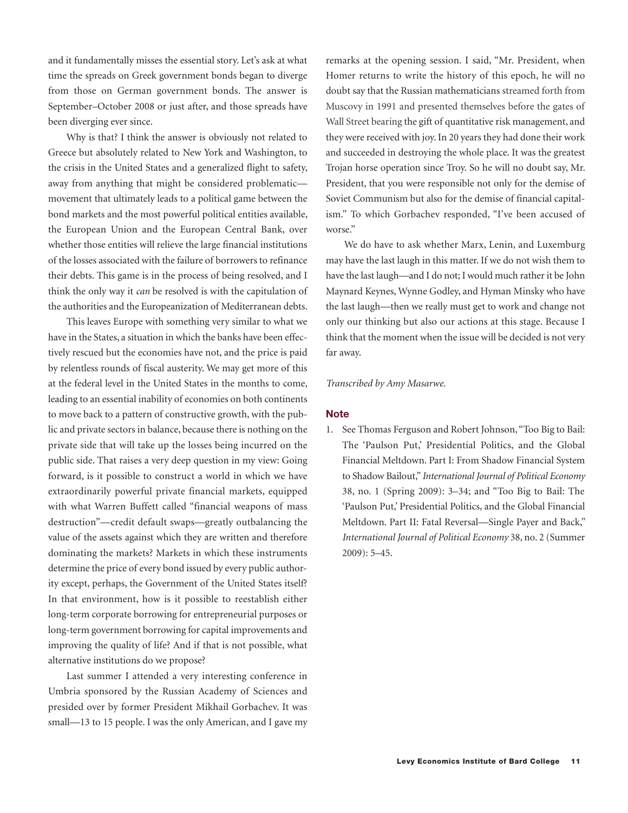and it fundamentally misses the essential story. Let's ask at what time the spreads on Greek government bonds began to diverge from those on German government bonds. The answer is September–October 2008 or just after, and those spreads have been diverging ever since.

Why is that? I think the answer is obviously not related to Greece but absolutely related to New York and Washington, to the crisis in the United States and a generalized flight to safety, away from anything that might be considered problematic movement that ultimately leads to a political game between the bond markets and the most powerful political entities available, the European Union and the European Central Bank, over whether those entities will relieve the large financial institutions of the losses associated with the failure of borrowers to refinance their debts. This game is in the process of being resolved, and I think the only way it *can* be resolved is with the capitulation of the authorities and the Europeanization of Mediterranean debts.

This leaves Europe with something very similar to what we have in the States, a situation in which the banks have been effectively rescued but the economies have not, and the price is paid by relentless rounds of fiscal austerity. We may get more of this at the federal level in the United States in the months to come, leading to an essential inability of economies on both continents to move back to a pattern of constructive growth, with the public and private sectors in balance, because there is nothing on the private side that will take up the losses being incurred on the public side. That raises a very deep question in my view: Going forward, is it possible to construct a world in which we have extraordinarily powerful private financial markets, equipped with what Warren Buffett called "financial weapons of mass destruction"—credit default swaps—greatly outbalancing the value of the assets against which they are written and therefore dominating the markets? Markets in which these instruments determine the price of every bond issued by every public authority except, perhaps, the Government of the United States itself? In that environment, how is it possible to reestablish either long-term corporate borrowing for entrepreneurial purposes or long-term government borrowing for capital improvements and improving the quality of life? And if that is not possible, what alternative institutions do we propose?

Last summer I attended a very interesting conference in Umbria sponsored by the Russian Academy of Sciences and presided over by former President Mikhail Gorbachev. It was small—13 to 15 people. I was the only American, and I gave my

remarks at the opening session. I said, "Mr. President, when Homer returns to write the history of this epoch, he will no doubt say that the Russian mathematicians streamed forth from Muscovy in 1991 and presented themselves before the gates of Wall Street bearing the gift of quantitative risk management, and they were received with joy. In 20 years they had done their work and succeeded in destroying the whole place. It was the greatest Trojan horse operation since Troy. So he will no doubt say, Mr. President, that you were responsible not only for the demise of Soviet Communism but also for the demise of financial capitalism." To which Gorbachev responded, "I've been accused of worse."

We do have to ask whether Marx, Lenin, and Luxemburg may have the last laugh in this matter. If we do not wish them to have the last laugh—and I do not; I would much rather it be John Maynard Keynes, Wynne Godley, and Hyman Minsky who have the last laugh—then we really must get to work and change not only our thinking but also our actions at this stage. Because I think that the moment when the issue will be decided is not very far away.

*Transcribed by Amy Masarwe.*

#### **Note**

1. See Thomas Ferguson and Robert Johnson, "Too Big to Bail: The 'Paulson Put,' Presidential Politics, and the Global Financial Meltdown. Part I: From Shadow Financial System to Shadow Bailout," *International Journal of Political Economy* 38, no. 1 (Spring 2009): 3–34; and "Too Big to Bail: The 'Paulson Put,' Presidential Politics, and the Global Financial Meltdown. Part II: Fatal Reversal—Single Payer and Back," *International Journal of Political Economy* 38, no. 2 (Summer 2009): 5–45.